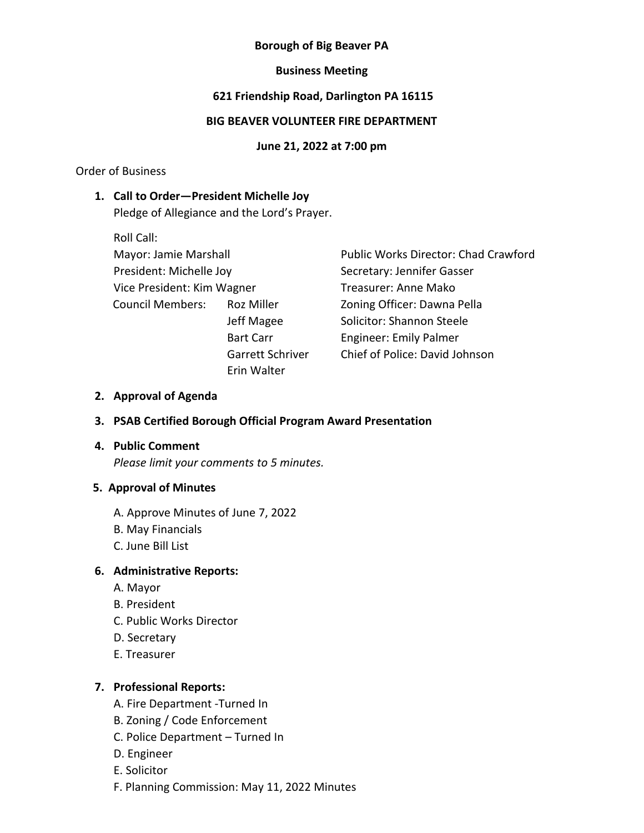# **Borough of Big Beaver PA**

## **Business Meeting**

# **621 Friendship Road, Darlington PA 16115**

# **BIG BEAVER VOLUNTEER FIRE DEPARTMENT**

#### **June 21, 2022 at 7:00 pm**

Order of Business

## **1. Call to Order—President Michelle Joy**

Pledge of Allegiance and the Lord's Prayer.

Roll Call: President: Michelle Joy Secretary: Jennifer Gasser Vice President: Kim Wagner Treasurer: Anne Mako Council Members: Roz Miller Zoning Officer: Dawna Pella Erin Walter

Mayor: Jamie Marshall **Public Works Director: Chad Crawford** Jeff Magee Solicitor: Shannon Steele Bart Carr **Engineer:** Emily Palmer Garrett Schriver Chief of Police: David Johnson

## **2. Approval of Agenda**

## **3. PSAB Certified Borough Official Program Award Presentation**

## **4. Public Comment**

*Please limit your comments to 5 minutes.*

#### **5. Approval of Minutes**

A. Approve Minutes of June 7, 2022

- B. May Financials
- C. June Bill List

## **6. Administrative Reports:**

- A. Mayor
- B. President
- C. Public Works Director
- D. Secretary
- E. Treasurer

## **7. Professional Reports:**

- A. Fire Department -Turned In
- B. Zoning / Code Enforcement
- C. Police Department Turned In
- D. Engineer
- E. Solicitor
- F. Planning Commission: May 11, 2022 Minutes